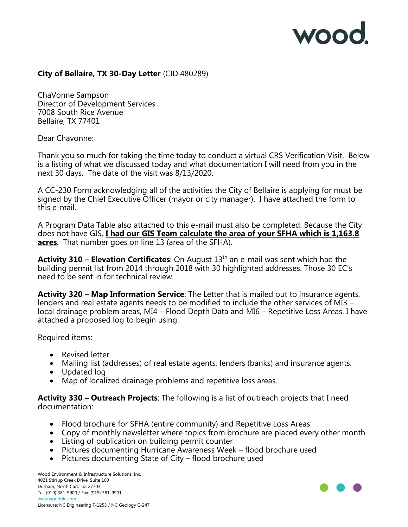

## **City of Bellaire, TX 30-Day Letter** (CID 480289)

ChaVonne Sampson Director of Development Services 7008 South Rice Avenue Bellaire, TX 77401

Dear Chavonne:

Thank you so much for taking the time today to conduct a virtual CRS Verification Visit. Below is a listing of what we discussed today and what documentation I will need from you in the next 30 days. The date of the visit was 8/13/2020.

A CC-230 Form acknowledging all of the activities the City of Bellaire is applying for must be signed by the Chief Executive Officer (mayor or city manager). I have attached the form to this e-mail.

A Program Data Table also attached to this e-mail must also be completed. Because the City does not have GIS, **I had our GIS Team calculate the area of your SFHA which is 1,163.8 acres**. That number goes on line 13 (area of the SFHA).

**Activity 310 - Elevation Certificates**: On August 13<sup>th</sup> an e-mail was sent which had the building permit list from 2014 through 2018 with 30 highlighted addresses. Those 30 EC's need to be sent in for technical review.

**Activity 320 – Map Information Service**: The Letter that is mailed out to insurance agents, lenders and real estate agents needs to be modified to include the other services of MI3 – local drainage problem areas, MI4 – Flood Depth Data and MI6 – Repetitive Loss Areas. I have attached a proposed log to begin using.

Required items:

- Revised letter
- Mailing list (addresses) of real estate agents, lenders (banks) and insurance agents.
- Updated log
- Map of localized drainage problems and repetitive loss areas.

**Activity 330 – Outreach Projects**: The following is a list of outreach projects that I need documentation:

- Flood brochure for SFHA (entire community) and Repetitive Loss Areas
- Copy of monthly newsletter where topics from brochure are placed every other month
- Listing of publication on building permit counter
- Pictures documenting Hurricane Awareness Week flood brochure used
- Pictures documenting State of City flood brochure used

Wood Environment & Infrastructure Solutions, Inc. 4021 Stirrup Creek Drive, Suite 100 Durham, North Carolina 27703 Tel: (919) 381-9900 / Fax: (919) 381-9901 [www.woodplc.com](http://www.woodplc.com/) Licensure: NC Engineering F-1253 / NC Geology C-247

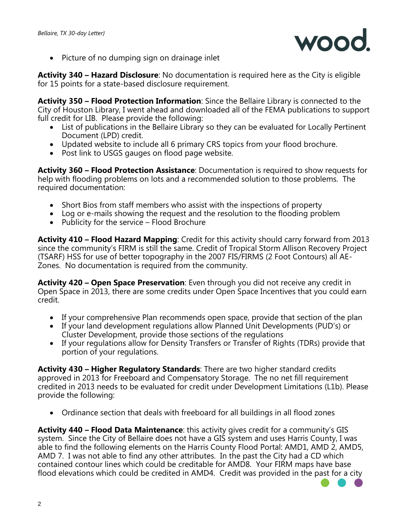

• Picture of no dumping sign on drainage inlet

**Activity 340 – Hazard Disclosure**: No documentation is required here as the City is eligible for 15 points for a state-based disclosure requirement.

**Activity 350 – Flood Protection Information**: Since the Bellaire Library is connected to the City of Houston Library, I went ahead and downloaded all of the FEMA publications to support full credit for LIB. Please provide the following:

- List of publications in the Bellaire Library so they can be evaluated for Locally Pertinent Document (LPD) credit.
- Updated website to include all 6 primary CRS topics from your flood brochure.
- Post link to USGS gauges on flood page website.

**Activity 360 – Flood Protection Assistance**: Documentation is required to show requests for help with flooding problems on lots and a recommended solution to those problems. The required documentation:

- Short Bios from staff members who assist with the inspections of property
- Log or e-mails showing the request and the resolution to the flooding problem
- Publicity for the service Flood Brochure

**Activity 410 – Flood Hazard Mapping**: Credit for this activity should carry forward from 2013 since the community's FIRM is still the same. Credit of Tropical Storm Allison Recovery Project (TSARF) HSS for use of better topography in the 2007 FIS/FIRMS (2 Foot Contours) all AE-Zones. No documentation is required from the community.

**Activity 420 – Open Space Preservation**: Even through you did not receive any credit in Open Space in 2013, there are some credits under Open Space Incentives that you could earn credit.

- If your comprehensive Plan recommends open space, provide that section of the plan
- If your land development regulations allow Planned Unit Developments (PUD's) or Cluster Development, provide those sections of the regulations
- If your regulations allow for Density Transfers or Transfer of Rights (TDRs) provide that portion of your regulations.

**Activity 430 – Higher Regulatory Standards**: There are two higher standard credits approved in 2013 for Freeboard and Compensatory Storage. The no net fill requirement credited in 2013 needs to be evaluated for credit under Development Limitations (L1b). Please provide the following:

• Ordinance section that deals with freeboard for all buildings in all flood zones

**Activity 440 – Flood Data Maintenance**: this activity gives credit for a community's GIS system. Since the City of Bellaire does not have a GIS system and uses Harris County, I was able to find the following elements on the Harris County Flood Portal: AMD1, AMD 2, AMD5, AMD 7. I was not able to find any other attributes. In the past the City had a CD which contained contour lines which could be creditable for AMD8. Your FIRM maps have base flood elevations which could be credited in AMD4. Credit was provided in the past for a city

2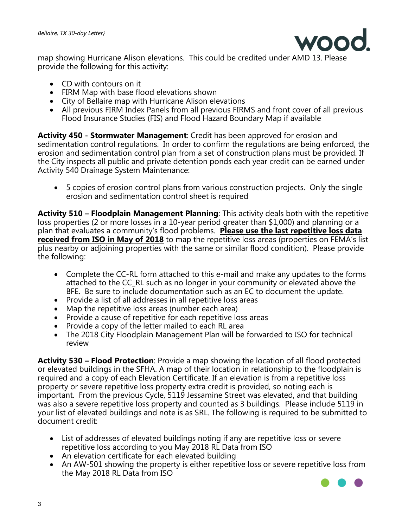

map showing Hurricane Alison elevations. This could be credited under AMD 13. Please provide the following for this activity:

- CD with contours on it
- FIRM Map with base flood elevations shown
- City of Bellaire map with Hurricane Alison elevations
- All previous FIRM Index Panels from all previous FIRMS and front cover of all previous Flood Insurance Studies (FIS) and Flood Hazard Boundary Map if available

**Activity 450 - Stormwater Management**: Credit has been approved for erosion and sedimentation control regulations. In order to confirm the regulations are being enforced, the erosion and sedimentation control plan from a set of construction plans must be provided. If the City inspects all public and private detention ponds each year credit can be earned under Activity 540 Drainage System Maintenance:

• 5 copies of erosion control plans from various construction projects. Only the single erosion and sedimentation control sheet is required

**Activity 510 – Floodplain Management Planning**: This activity deals both with the repetitive loss properties (2 or more losses in a 10-year period greater than \$1,000) and planning or a plan that evaluates a community's flood problems. **Please use the last repetitive loss data received from ISO in May of 2018** to map the repetitive loss areas (properties on FEMA's list plus nearby or adjoining properties with the same or similar flood condition). Please provide the following:

- Complete the CC-RL form attached to this e-mail and make any updates to the forms attached to the CC\_RL such as no longer in your community or elevated above the BFE. Be sure to include documentation such as an EC to document the update.
- Provide a list of all addresses in all repetitive loss areas
- Map the repetitive loss areas (number each area)
- Provide a cause of repetitive for each repetitive loss areas
- Provide a copy of the letter mailed to each RL area
- The 2018 City Floodplain Management Plan will be forwarded to ISO for technical review

**Activity 530 – Flood Protection**: Provide a map showing the location of all flood protected or elevated buildings in the SFHA. A map of their location in relationship to the floodplain is required and a copy of each Elevation Certificate. If an elevation is from a repetitive loss property or severe repetitive loss property extra credit is provided, so noting each is important. From the previous Cycle, 5119 Jessamine Street was elevated, and that building was also a severe repetitive loss property and counted as 3 buildings. Please include 5119 in your list of elevated buildings and note is as SRL. The following is required to be submitted to document credit:

- List of addresses of elevated buildings noting if any are repetitive loss or severe repetitive loss according to you May 2018 RL Data from ISO
- An elevation certificate for each elevated building
- An AW-501 showing the property is either repetitive loss or severe repetitive loss from the May 2018 RL Data from ISO